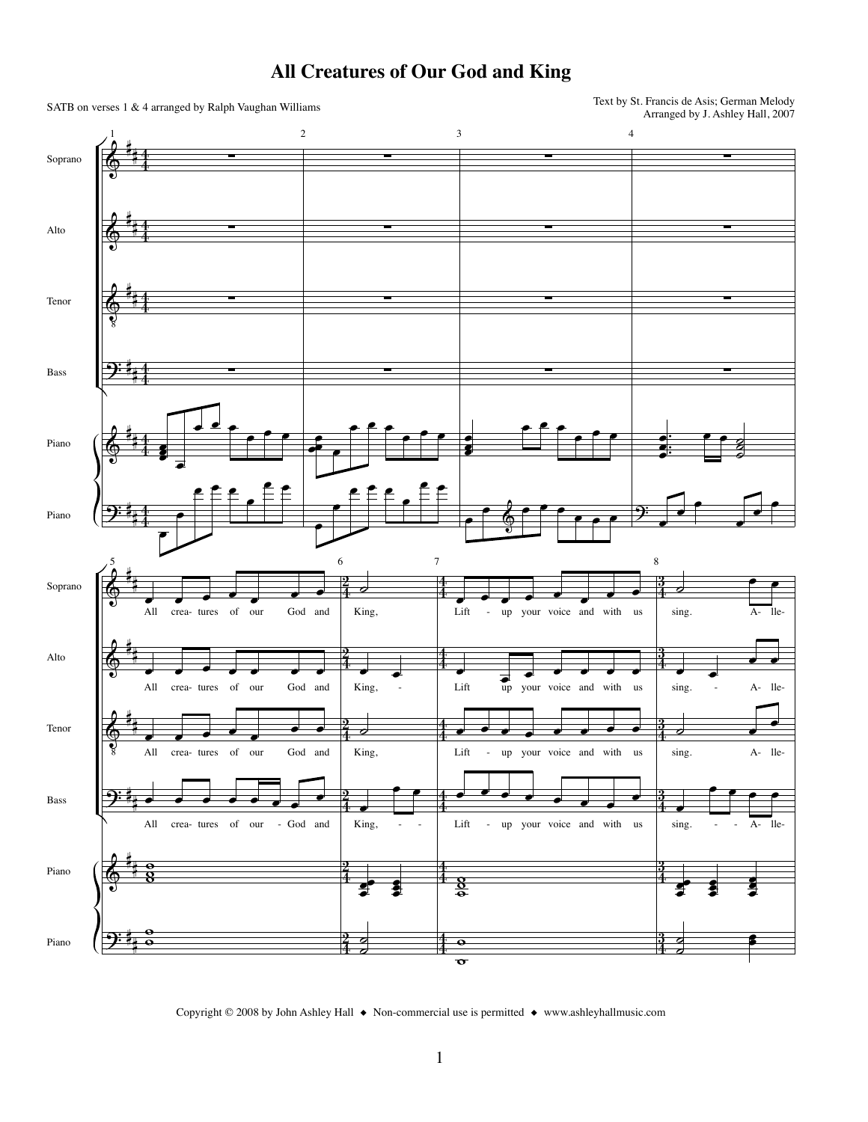

## **All Creatures of Our God and King**

Copyright © 2008 by John Ashley Hall ◆ Non-commercial use is permitted ◆ www.ashleyhallmusic.com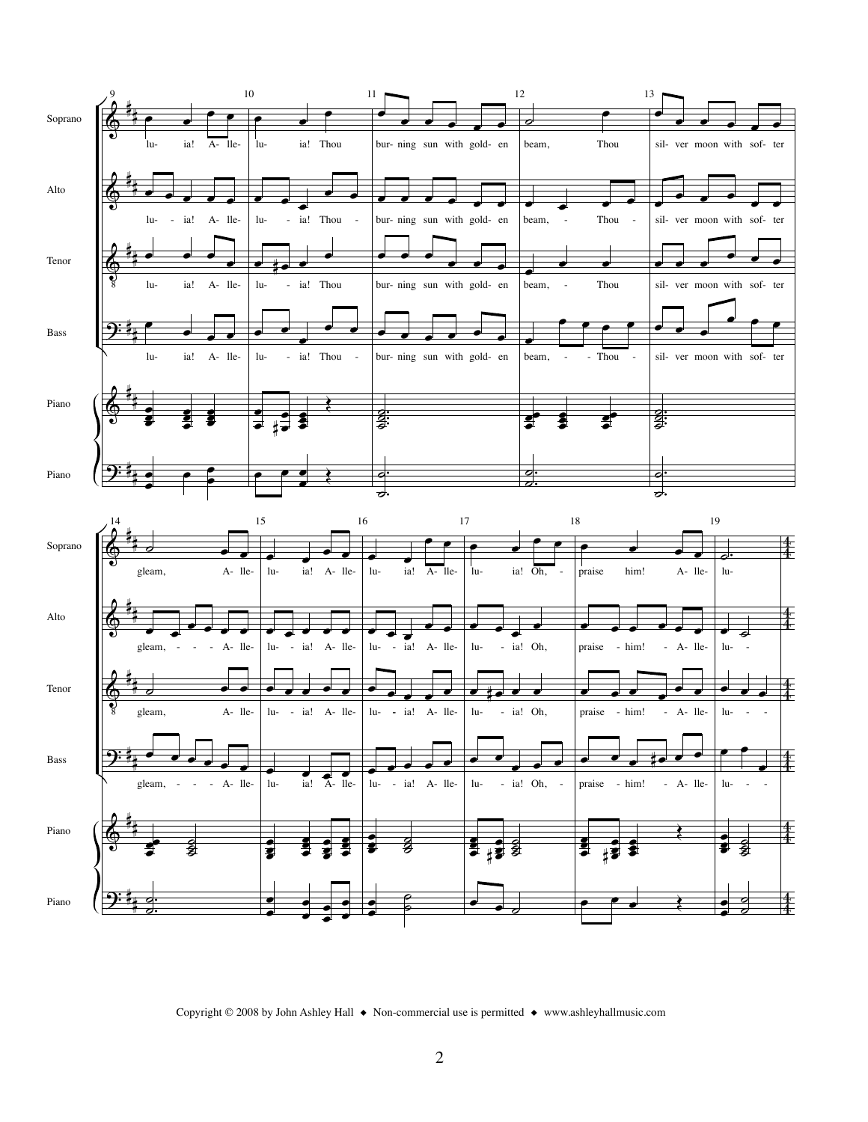

Copyright © 2008 by John Ashley Hall ◆ Non-commercial use is permitted ◆ www.ashleyhallmusic.com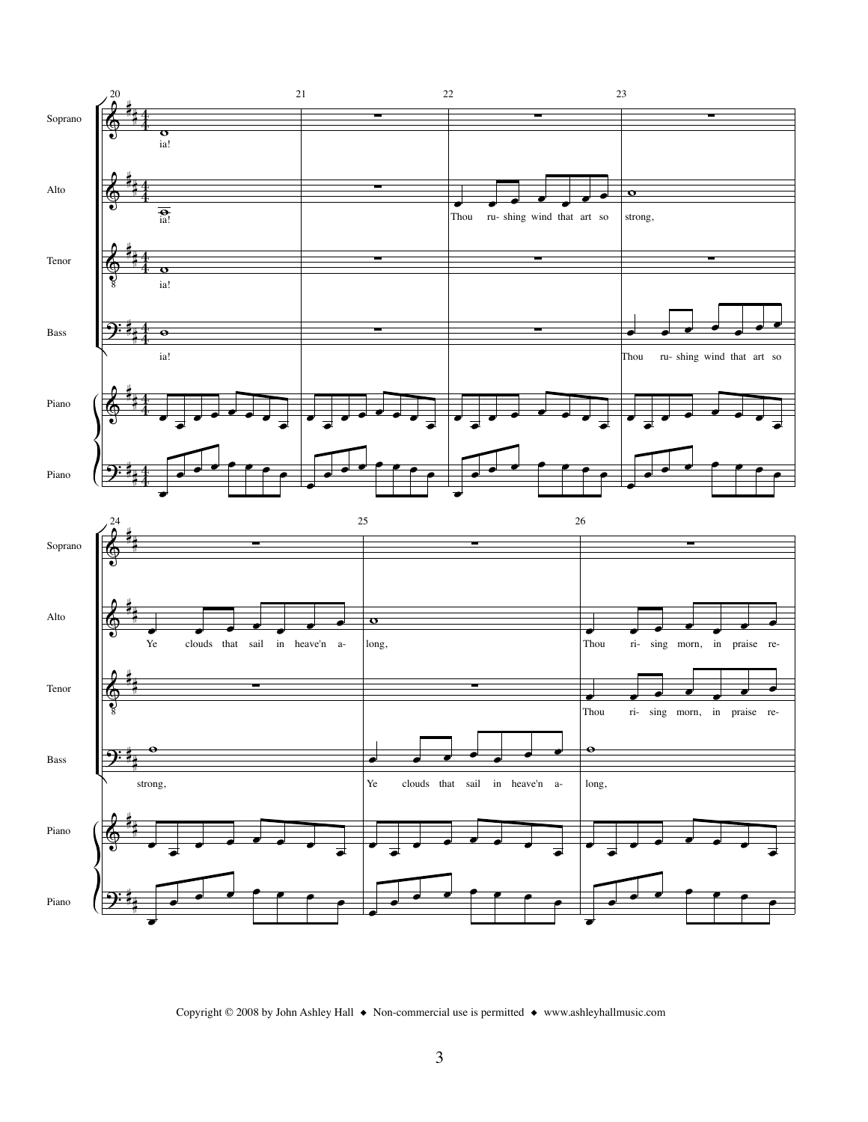

Copyright © 2008 by John Ashley Hall ◆ Non-commercial use is permitted ◆ www.ashleyhallmusic.com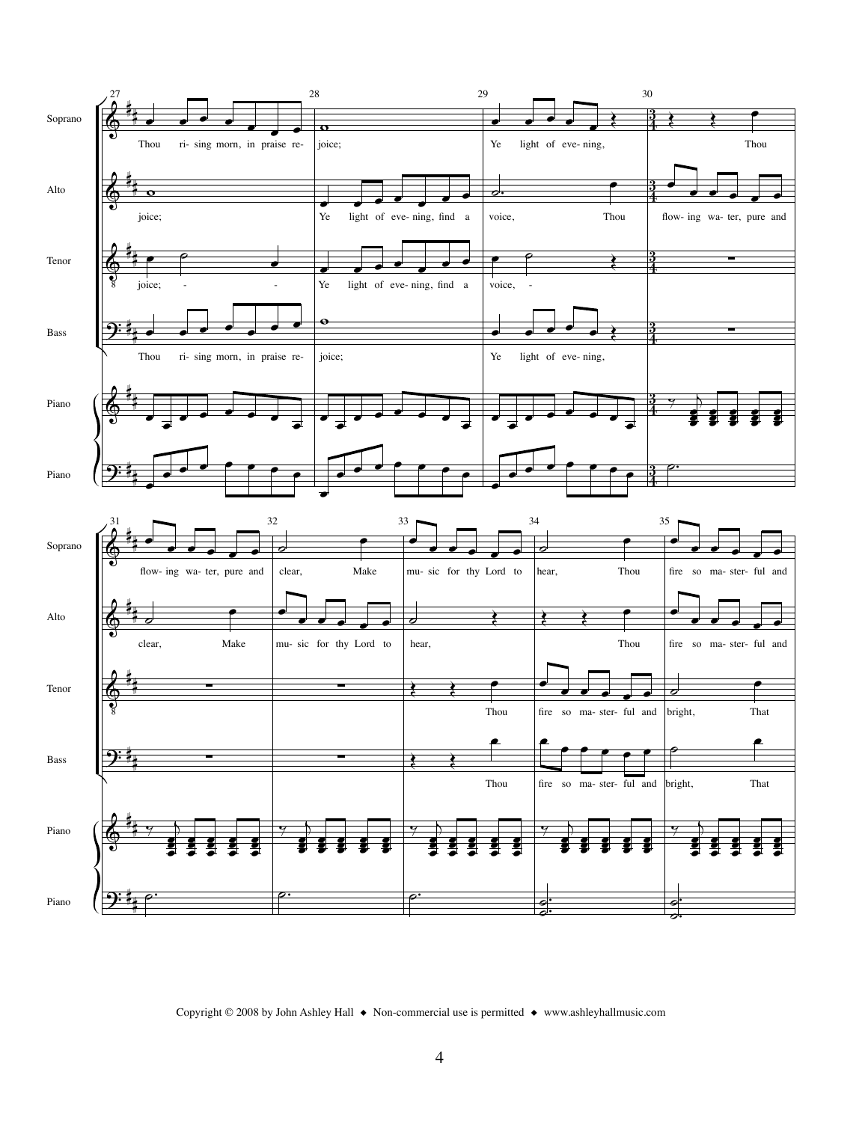

Copyright © 2008 by John Ashley Hall ◆ Non-commercial use is permitted ◆ www.ashleyhallmusic.com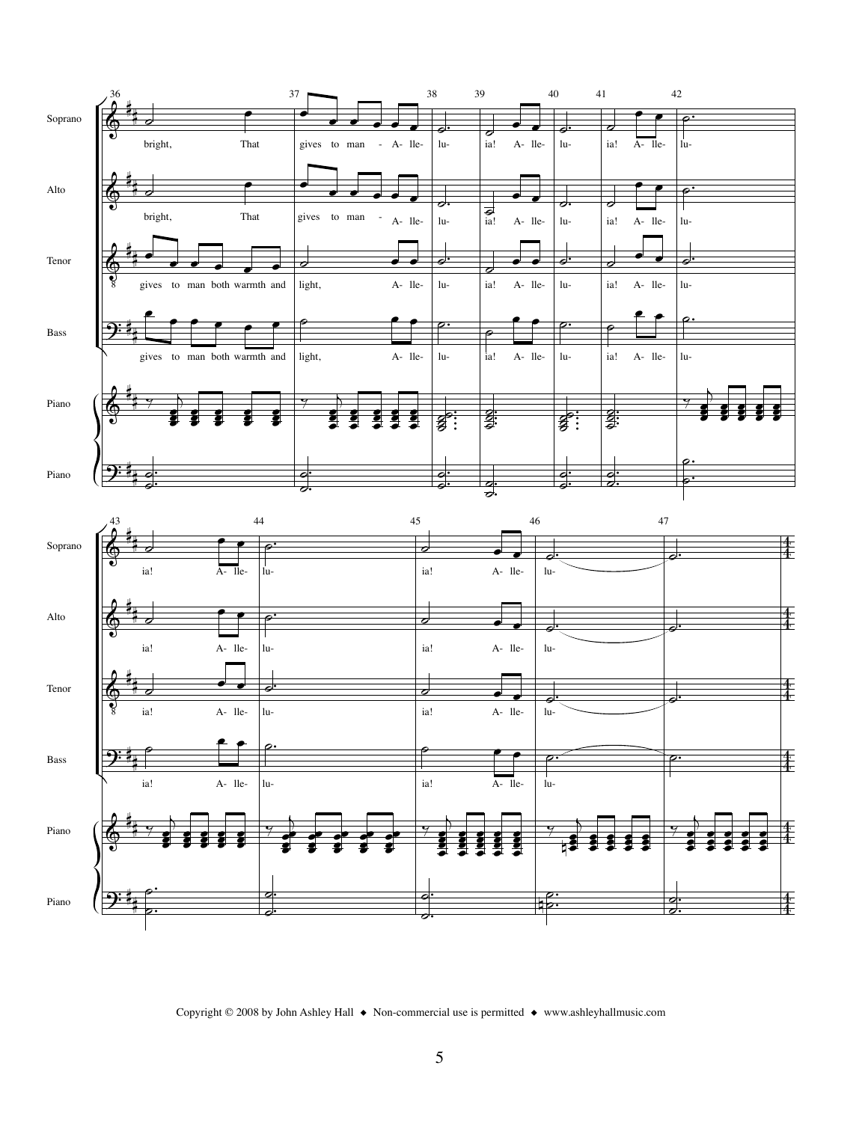

Copyright © 2008 by John Ashley Hall ◆ Non-commercial use is permitted ◆ www.ashleyhallmusic.com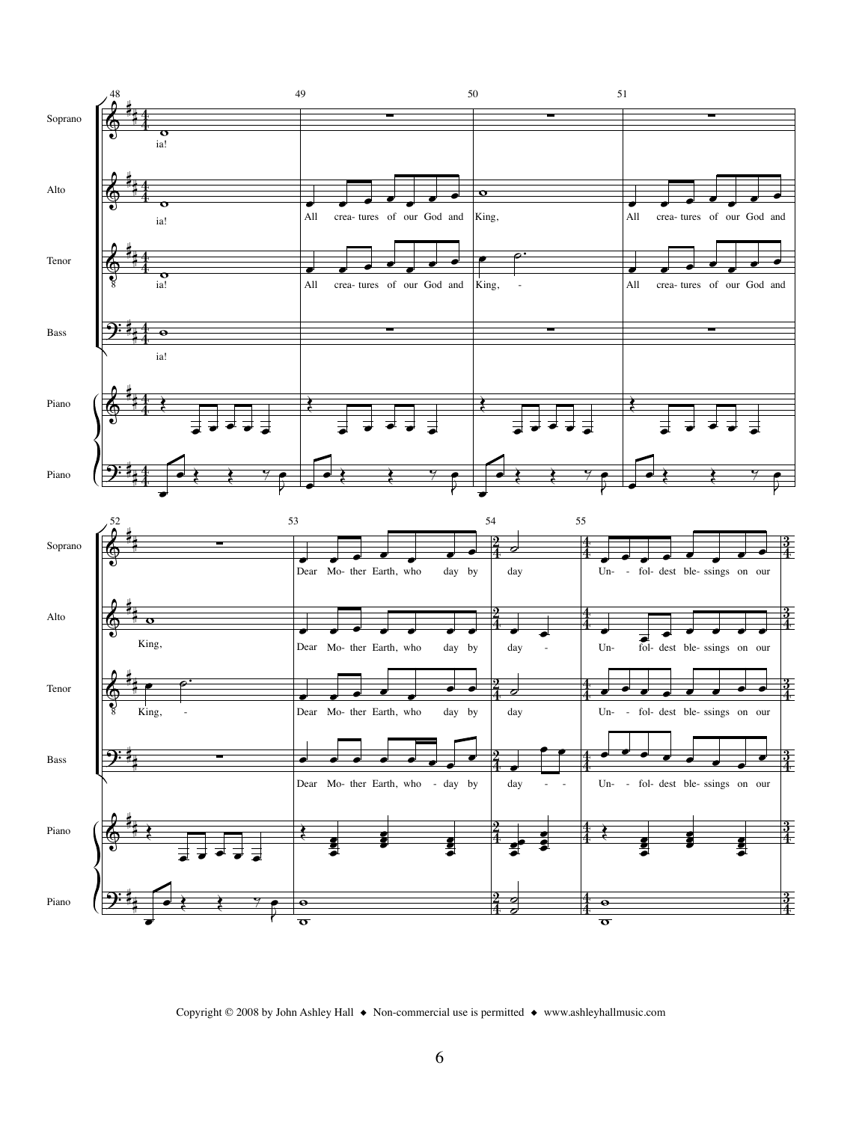

Copyright © 2008 by John Ashley Hall ◆ Non-commercial use is permitted ◆ www.ashleyhallmusic.com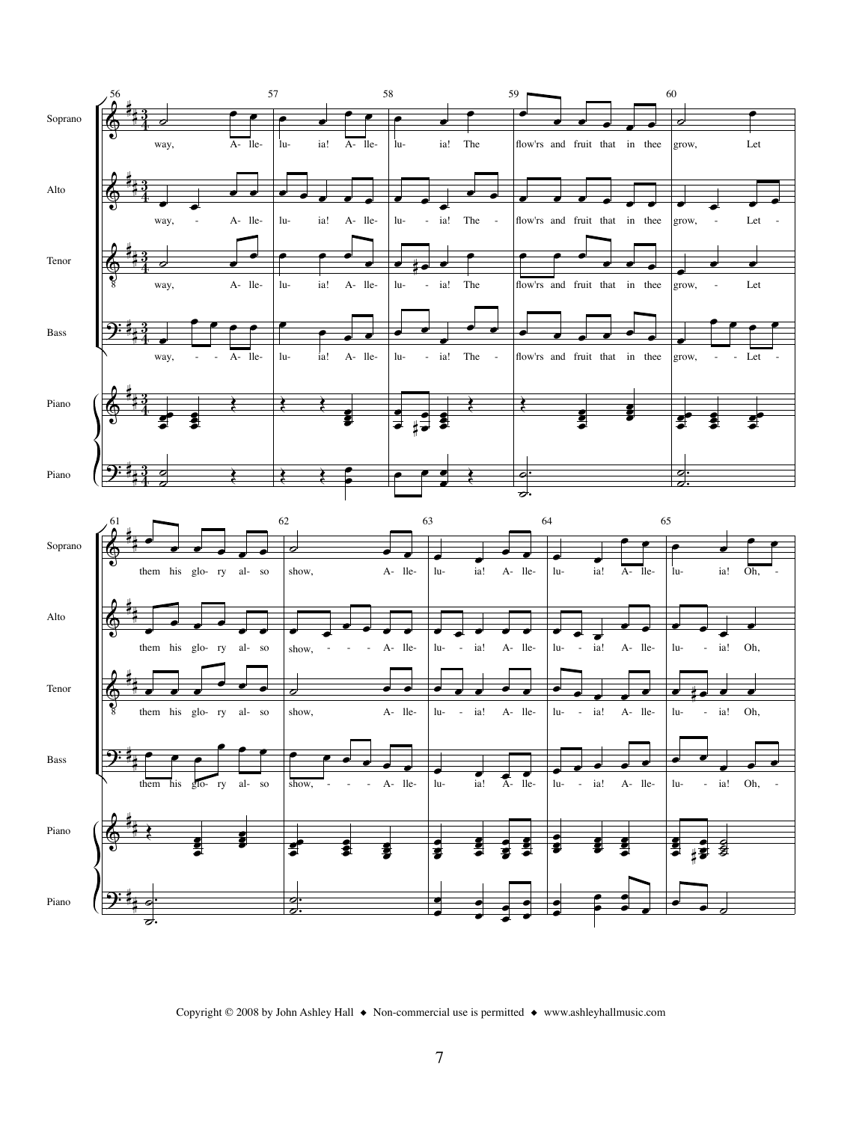

Copyright © 2008 by John Ashley Hall ◆ Non-commercial use is permitted ◆ www.ashleyhallmusic.com